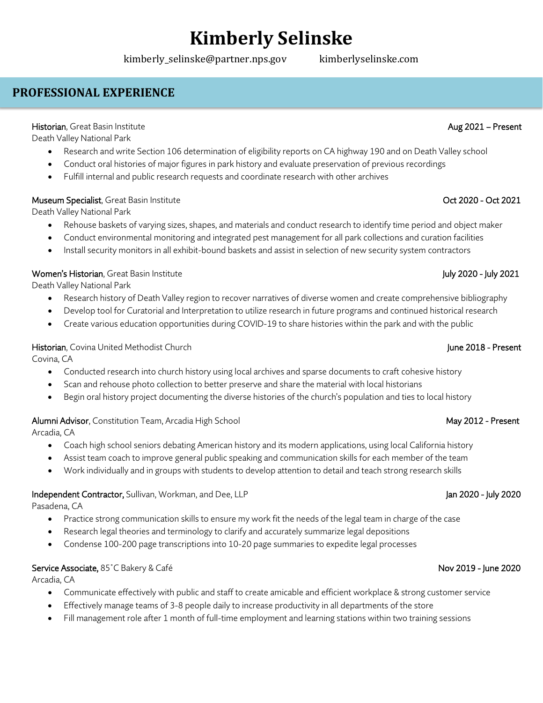kimberly\_selinske@partner.nps.gov kimberlyselinske.com

## **PROFESSIONAL EXPERIENCE**

## Historian, Great Basin Institute Aug 2021 – Present

Death Valley National Park

- Research and write Section 106 determination of eligibility reports on CA highway 190 and on Death Valley school
- Conduct oral histories of major figures in park history and evaluate preservation of previous recordings
- Fulfill internal and public research requests and coordinate research with other archives

## Museum Specialist, Great Basin Institute **National State of the Control of 2020** - Oct 2021

Death Valley National Park

- Rehouse baskets of varying sizes, shapes, and materials and conduct research to identify time period and object maker
- Conduct environmental monitoring and integrated pest management for all park collections and curation facilities
- Install security monitors in all exhibit-bound baskets and assist in selection of new security system contractors

## Women's Historian, Great Basin Institute July 2020 - July 2021

Death Valley National Park

- Research history of Death Valley region to recover narratives of diverse women and create comprehensive bibliography
- Develop tool for Curatorial and Interpretation to utilize research in future programs and continued historical research
- Create various education opportunities during COVID-19 to share histories within the park and with the public

## Historian, Covina United Methodist Church June 2018 - Present

Covina, CA

- Conducted research into church history using local archives and sparse documents to craft cohesive history
- Scan and rehouse photo collection to better preserve and share the material with local historians
- Begin oral history project documenting the diverse histories of the church's population and ties to local history

## Alumni Advisor, Constitution Team, Arcadia High School New York May 2012 - Present

Arcadia, CA

- Coach high school seniors debating American history and its modern applications, using local California history
- Assist team coach to improve general public speaking and communication skills for each member of the team
- Work individually and in groups with students to develop attention to detail and teach strong research skills

## Independent Contractor, Sullivan, Workman, and Dee, LLP Jan 2020 - July 2020 - July 2020 - July 2020

Pasadena, CA

- Practice strong communication skills to ensure my work fit the needs of the legal team in charge of the case
- Research legal theories and terminology to clarify and accurately summarize legal depositions
- Condense 100-200 page transcriptions into 10-20 page summaries to expedite legal processes

## Service Associate, 85˚C Bakery & Café Nov 2019 - June 2020

Arcadia, CA

- Communicate effectively with public and staff to create amicable and efficient workplace & strong customer service
- Effectively manage teams of 3-8 people daily to increase productivity in all departments of the store
- Fill management role after 1 month of full-time employment and learning stations within two training sessions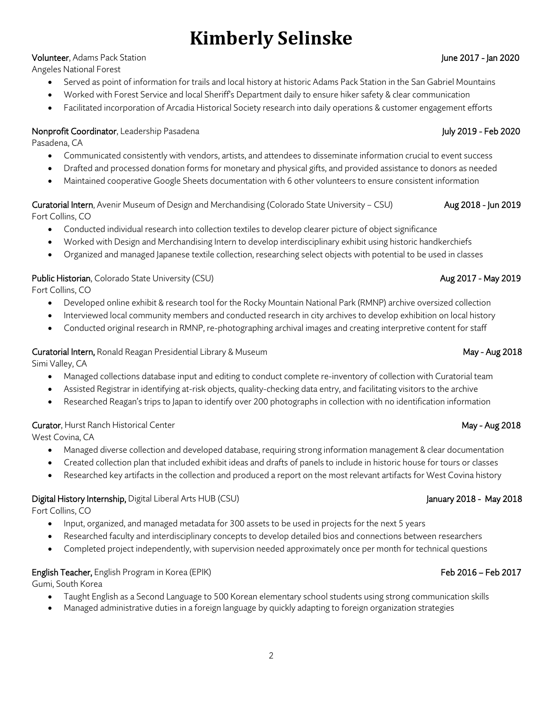## Volunteer, Adams Pack Station June 2017 - Jan 2020

Angeles National Forest

- Served as point of information for trails and local history at historic Adams Pack Station in the San Gabriel Mountains
- Worked with Forest Service and local Sheriff's Department daily to ensure hiker safety & clear communication
- Facilitated incorporation of Arcadia Historical Society research into daily operations & customer engagement efforts

## Nonprofit Coordinator, Leadership Pasadena July 2019 - Feb 2020

Pasadena, CA

- Communicated consistently with vendors, artists, and attendees to disseminate information crucial to event success
- Drafted and processed donation forms for monetary and physical gifts, and provided assistance to donors as needed
- Maintained cooperative Google Sheets documentation with 6 other volunteers to ensure consistent information

## Curatorial Intern, Avenir Museum of Design and Merchandising (Colorado State University – CSU) Aug 2018 - Jun 2019 Fort Collins, CO

- Conducted individual research into collection textiles to develop clearer picture of object significance
- Worked with Design and Merchandising Intern to develop interdisciplinary exhibit using historic handkerchiefs
- Organized and managed Japanese textile collection, researching select objects with potential to be used in classes

## Public Historian, Colorado State University (CSU) and the contract of the contract of the contract of the contract of the contract of the contract of the contract of the contract of the contract of the contract of the cont

Fort Collins, CO

- Developed online exhibit & research tool for the Rocky Mountain National Park (RMNP) archive oversized collection
- Interviewed local community members and conducted research in city archives to develop exhibition on local history
- Conducted original research in RMNP, re-photographing archival images and creating interpretive content for staff

## Curatorial Intern, Ronald Reagan Presidential Library & Museum May - Aug 2018

Simi Valley, CA

- Managed collections database input and editing to conduct complete re-inventory of collection with Curatorial team
- Assisted Registrar in identifying at-risk objects, quality-checking data entry, and facilitating visitors to the archive
- Researched Reagan's trips to Japan to identify over 200 photographs in collection with no identification information

## Curator, Hurst Ranch Historical Center May - Aug 2018

West Covina, CA

- Managed diverse collection and developed database, requiring strong information management & clear documentation
- Created collection plan that included exhibit ideas and drafts of panels to include in historic house for tours or classes
- Researched key artifacts in the collection and produced a report on the most relevant artifacts for West Covina history

## Digital History Internship, Digital Liberal Arts HUB (CSU) January 2018 - May 2018 - May 2018

Fort Collins, CO

- Input, organized, and managed metadata for 300 assets to be used in projects for the next 5 years
- Researched faculty and interdisciplinary concepts to develop detailed bios and connections between researchers
- Completed project independently, with supervision needed approximately once per month for technical questions

## English Teacher, English Program in Korea (EPIK) Feb 2016 – Feb 2017

Gumi, South Korea

- Taught English as a Second Language to 500 Korean elementary school students using strong communication skills
- Managed administrative duties in a foreign language by quickly adapting to foreign organization strategies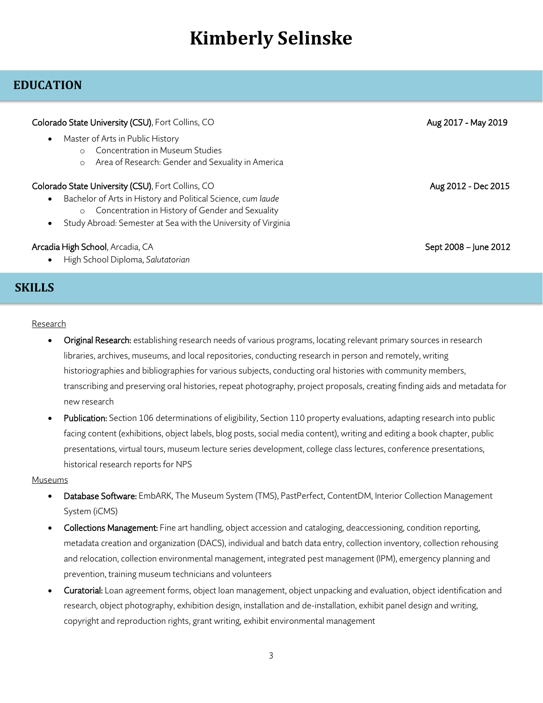## **EDUCATION**

| Colorado State University (CSU), Fort Collins, CO                                                                                                                                                                                                              | Aug 2017 - May 2019   |
|----------------------------------------------------------------------------------------------------------------------------------------------------------------------------------------------------------------------------------------------------------------|-----------------------|
| Master of Arts in Public History<br>$\bullet$<br>Concentration in Museum Studies<br>Area of Research: Gender and Sexuality in America<br>$\circ$                                                                                                               |                       |
| Colorado State University (CSU), Fort Collins, CO<br>Bachelor of Arts in History and Political Science, cum laude<br>$\bullet$<br>Concentration in History of Gender and Sexuality<br>$\circ$<br>Study Abroad: Semester at Sea with the University of Virginia | Aug 2012 - Dec 2015   |
| Arcadia High School, Arcadia, CA                                                                                                                                                                                                                               | Sept 2008 – June 2012 |

• High School Diploma, *Salutatorian*

## **SKILLS**

## **Research**

- Original Research: establishing research needs of various programs, locating relevant primary sources in research libraries, archives, museums, and local repositories, conducting research in person and remotely, writing historiographies and bibliographies for various subjects, conducting oral histories with community members, transcribing and preserving oral histories, repeat photography, project proposals, creating finding aids and metadata for new research
- Publication: Section 106 determinations of eligibility, Section 110 property evaluations, adapting research into public facing content (exhibitions, object labels, blog posts, social media content), writing and editing a book chapter, public presentations, virtual tours, museum lecture series development, college class lectures, conference presentations, historical research reports for NPS

### Museums

- Database Software: EmbARK, The Museum System (TMS), PastPerfect, ContentDM, Interior Collection Management System (iCMS)
- Collections Management: Fine art handling, object accession and cataloging, deaccessioning, condition reporting, metadata creation and organization (DACS), individual and batch data entry, collection inventory, collection rehousing and relocation, collection environmental management, integrated pest management (IPM), emergency planning and prevention, training museum technicians and volunteers
- Curatorial: Loan agreement forms, object loan management, object unpacking and evaluation, object identification and research, object photography, exhibition design, installation and de-installation, exhibit panel design and writing, copyright and reproduction rights, grant writing, exhibit environmental management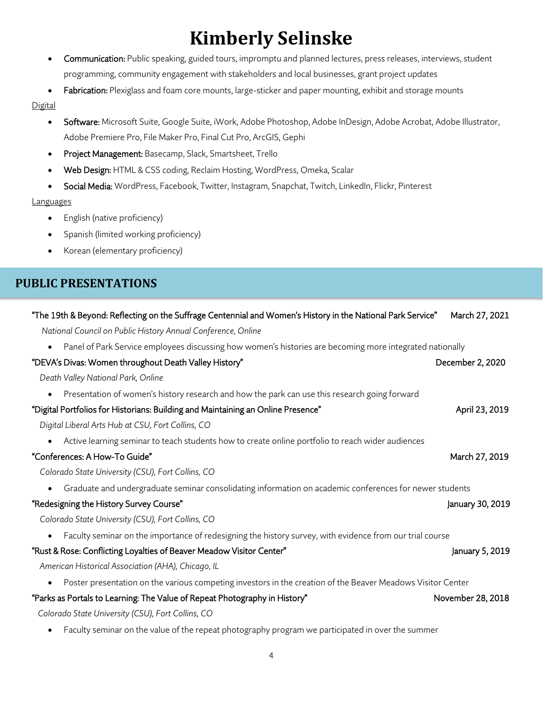- **Communication:** Public speaking, guided tours, impromptu and planned lectures, press releases, interviews, student programming, community engagement with stakeholders and local businesses, grant project updates
- Fabrication: Plexiglass and foam core mounts, large-sticker and paper mounting, exhibit and storage mounts

## **Digital**

- Software: Microsoft Suite, Google Suite, iWork, Adobe Photoshop, Adobe InDesign, Adobe Acrobat, Adobe Illustrator, Adobe Premiere Pro, File Maker Pro, Final Cut Pro, ArcGIS, Gephi
- Project Management: Basecamp, Slack, Smartsheet, Trello
- Web Design: HTML & CSS coding, Reclaim Hosting, WordPress, Omeka, Scalar
- Social Media: WordPress, Facebook, Twitter, Instagram, Snapchat, Twitch, LinkedIn, Flickr, Pinterest

## **Languages**

- English (native proficiency)
- Spanish (limited working proficiency)
- Korean (elementary proficiency)

## **PUBLIC PRESENTATIONS**

| "The 19th & Beyond: Reflecting on the Suffrage Centennial and Women's History in the National Park Service"<br>March 27, 2021 |                   |
|-------------------------------------------------------------------------------------------------------------------------------|-------------------|
| National Council on Public History Annual Conference, Online                                                                  |                   |
| Panel of Park Service employees discussing how women's histories are becoming more integrated nationally<br>$\bullet$         |                   |
| "DEVA's Divas: Women throughout Death Valley History"                                                                         | December 2, 2020  |
| Death Valley National Park, Online                                                                                            |                   |
| Presentation of women's history research and how the park can use this research going forward<br>$\bullet$                    |                   |
| "Digital Portfolios for Historians: Building and Maintaining an Online Presence"                                              | April 23, 2019    |
| Digital Liberal Arts Hub at CSU, Fort Collins, CO                                                                             |                   |
| Active learning seminar to teach students how to create online portfolio to reach wider audiences<br>$\bullet$                |                   |
| "Conferences: A How-To Guide"                                                                                                 | March 27, 2019    |
| Colorado State University (CSU), Fort Collins, CO                                                                             |                   |
| Graduate and undergraduate seminar consolidating information on academic conferences for newer students<br>$\bullet$          |                   |
| "Redesigning the History Survey Course"                                                                                       | January 30, 2019  |
| Colorado State University (CSU), Fort Collins, CO                                                                             |                   |
| Faculty seminar on the importance of redesigning the history survey, with evidence from our trial course<br>$\bullet$         |                   |
| "Rust & Rose: Conflicting Loyalties of Beaver Meadow Visitor Center"                                                          | January 5, 2019   |
| American Historical Association (AHA), Chicago, IL                                                                            |                   |
| Poster presentation on the various competing investors in the creation of the Beaver Meadows Visitor Center<br>$\bullet$      |                   |
| "Parks as Portals to Learning: The Value of Repeat Photography in History"                                                    | November 28, 2018 |
| Colorado State University (CSU), Fort Collins, CO                                                                             |                   |
| Faculty seminar on the value of the repeat photography program we participated in over the summer<br>$\bullet$                |                   |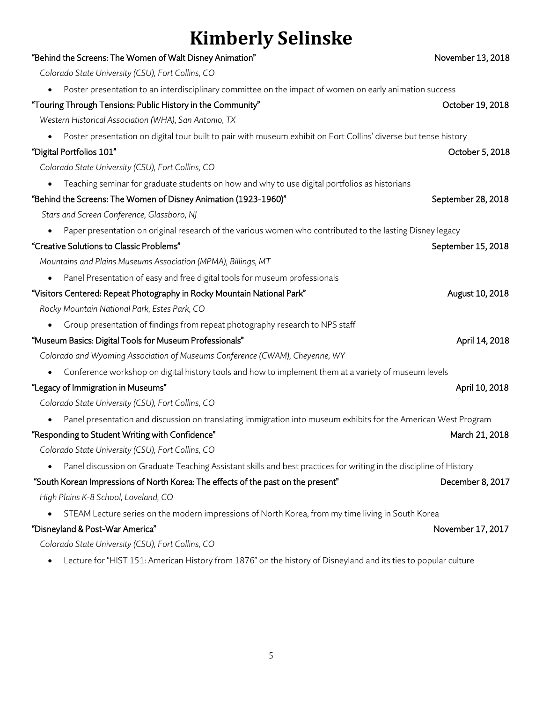| "Behind the Screens: The Women of Walt Disney Animation"                                                                        | November 13, 2018  |
|---------------------------------------------------------------------------------------------------------------------------------|--------------------|
| Colorado State University (CSU), Fort Collins, CO                                                                               |                    |
| Poster presentation to an interdisciplinary committee on the impact of women on early animation success                         |                    |
| "Touring Through Tensions: Public History in the Community"                                                                     | October 19, 2018   |
| Western Historical Association (WHA), San Antonio, TX                                                                           |                    |
| Poster presentation on digital tour built to pair with museum exhibit on Fort Collins' diverse but tense history                |                    |
| "Digital Portfolios 101"                                                                                                        | October 5, 2018    |
| Colorado State University (CSU), Fort Collins, CO                                                                               |                    |
| Teaching seminar for graduate students on how and why to use digital portfolios as historians                                   |                    |
| "Behind the Screens: The Women of Disney Animation (1923-1960)"                                                                 | September 28, 2018 |
| Stars and Screen Conference, Glassboro, NJ                                                                                      |                    |
| Paper presentation on original research of the various women who contributed to the lasting Disney legacy                       |                    |
| "Creative Solutions to Classic Problems"                                                                                        | September 15, 2018 |
| Mountains and Plains Museums Association (MPMA), Billings, MT                                                                   |                    |
| Panel Presentation of easy and free digital tools for museum professionals                                                      |                    |
| "Visitors Centered: Repeat Photography in Rocky Mountain National Park"                                                         | August 10, 2018    |
| Rocky Mountain National Park, Estes Park, CO                                                                                    |                    |
| Group presentation of findings from repeat photography research to NPS staff                                                    |                    |
| "Museum Basics: Digital Tools for Museum Professionals"                                                                         | April 14, 2018     |
| Colorado and Wyoming Association of Museums Conference (CWAM), Cheyenne, WY                                                     |                    |
| Conference workshop on digital history tools and how to implement them at a variety of museum levels                            |                    |
| "Legacy of Immigration in Museums"                                                                                              | April 10, 2018     |
| Colorado State University (CSU), Fort Collins, CO                                                                               |                    |
| Panel presentation and discussion on translating immigration into museum exhibits for the American West Program                 |                    |
| "Responding to Student Writing with Confidence"                                                                                 | March 21, 2018     |
| Colorado State University (CSU), Fort Collins, CO                                                                               |                    |
| Panel discussion on Graduate Teaching Assistant skills and best practices for writing in the discipline of History<br>$\bullet$ |                    |
| "South Korean Impressions of North Korea: The effects of the past on the present"                                               | December 8, 2017   |
| High Plains K-8 School, Loveland, CO                                                                                            |                    |
| STEAM Lecture series on the modern impressions of North Korea, from my time living in South Korea                               |                    |
| "Disneyland & Post-War America"                                                                                                 | November 17, 2017  |
| Colorado State University (CSU), Fort Collins, CO                                                                               |                    |
| Lecture for "HIST 151: American History from 1876" on the history of Disneyland and its ties to popular culture                 |                    |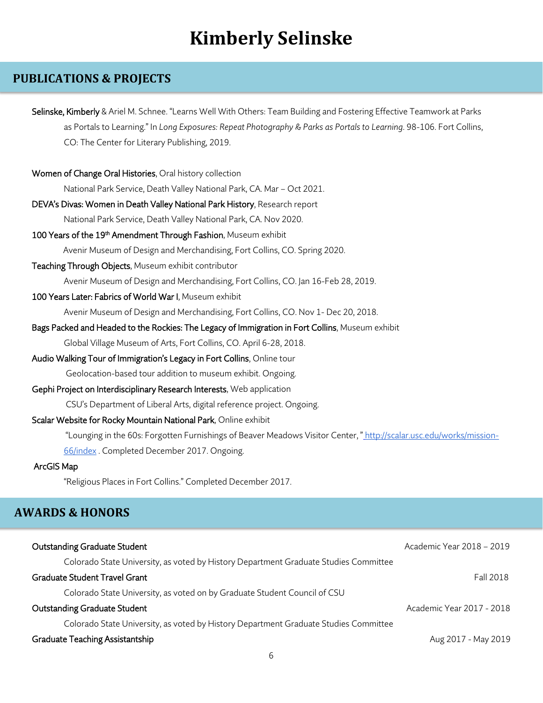## **PUBLICATIONS & PROJECTS**

| Selinske, Kimberly & Ariel M. Schnee. "Learns Well With Others: Team Building and Fostering Effective Teamwork at Parks                                               |                           |
|-----------------------------------------------------------------------------------------------------------------------------------------------------------------------|---------------------------|
| as Portals to Learning." In Long Exposures: Repeat Photography & Parks as Portals to Learning. 98-106. Fort Collins,<br>CO: The Center for Literary Publishing, 2019. |                           |
| Women of Change Oral Histories, Oral history collection                                                                                                               |                           |
| National Park Service, Death Valley National Park, CA. Mar - Oct 2021.                                                                                                |                           |
| DEVA's Divas: Women in Death Valley National Park History, Research report                                                                                            |                           |
| National Park Service, Death Valley National Park, CA. Nov 2020.                                                                                                      |                           |
| 100 Years of the 19 <sup>th</sup> Amendment Through Fashion, Museum exhibit                                                                                           |                           |
| Avenir Museum of Design and Merchandising, Fort Collins, CO. Spring 2020.                                                                                             |                           |
| Teaching Through Objects, Museum exhibit contributor                                                                                                                  |                           |
| Avenir Museum of Design and Merchandising, Fort Collins, CO. Jan 16-Feb 28, 2019.                                                                                     |                           |
| 100 Years Later: Fabrics of World War I, Museum exhibit                                                                                                               |                           |
| Avenir Museum of Design and Merchandising, Fort Collins, CO. Nov 1- Dec 20, 2018.                                                                                     |                           |
| Bags Packed and Headed to the Rockies: The Legacy of Immigration in Fort Collins, Museum exhibit                                                                      |                           |
| Global Village Museum of Arts, Fort Collins, CO. April 6-28, 2018.                                                                                                    |                           |
| Audio Walking Tour of Immigration's Legacy in Fort Collins, Online tour                                                                                               |                           |
| Geolocation-based tour addition to museum exhibit. Ongoing.                                                                                                           |                           |
| Gephi Project on Interdisciplinary Research Interests, Web application                                                                                                |                           |
| CSU's Department of Liberal Arts, digital reference project. Ongoing.                                                                                                 |                           |
| Scalar Website for Rocky Mountain National Park, Online exhibit                                                                                                       |                           |
| "Lounging in the 60s: Forgotten Furnishings of Beaver Meadows Visitor Center," http://scalar.usc.edu/works/mission-                                                   |                           |
| 66/index Completed December 2017. Ongoing.                                                                                                                            |                           |
| ArcGIS Map                                                                                                                                                            |                           |
| "Religious Places in Fort Collins." Completed December 2017.                                                                                                          |                           |
| <b>AWARDS &amp; HONORS</b>                                                                                                                                            |                           |
| <b>Outstanding Graduate Student</b>                                                                                                                                   | Academic Year 2018 - 2019 |
| Colorado State University, as voted by History Department Graduate Studies Committee                                                                                  |                           |
| <b>Graduate Student Travel Grant</b>                                                                                                                                  | <b>Fall 2018</b>          |
| Colorado State University, as voted on by Graduate Student Council of CSU                                                                                             |                           |
| <b>Outstanding Graduate Student</b>                                                                                                                                   | Academic Year 2017 - 2018 |
| Colorado State University, as voted by History Department Graduate Studies Committee                                                                                  |                           |
| <b>Graduate Teaching Assistantship</b>                                                                                                                                | Aug 2017 - May 2019       |
| 6                                                                                                                                                                     |                           |
|                                                                                                                                                                       |                           |